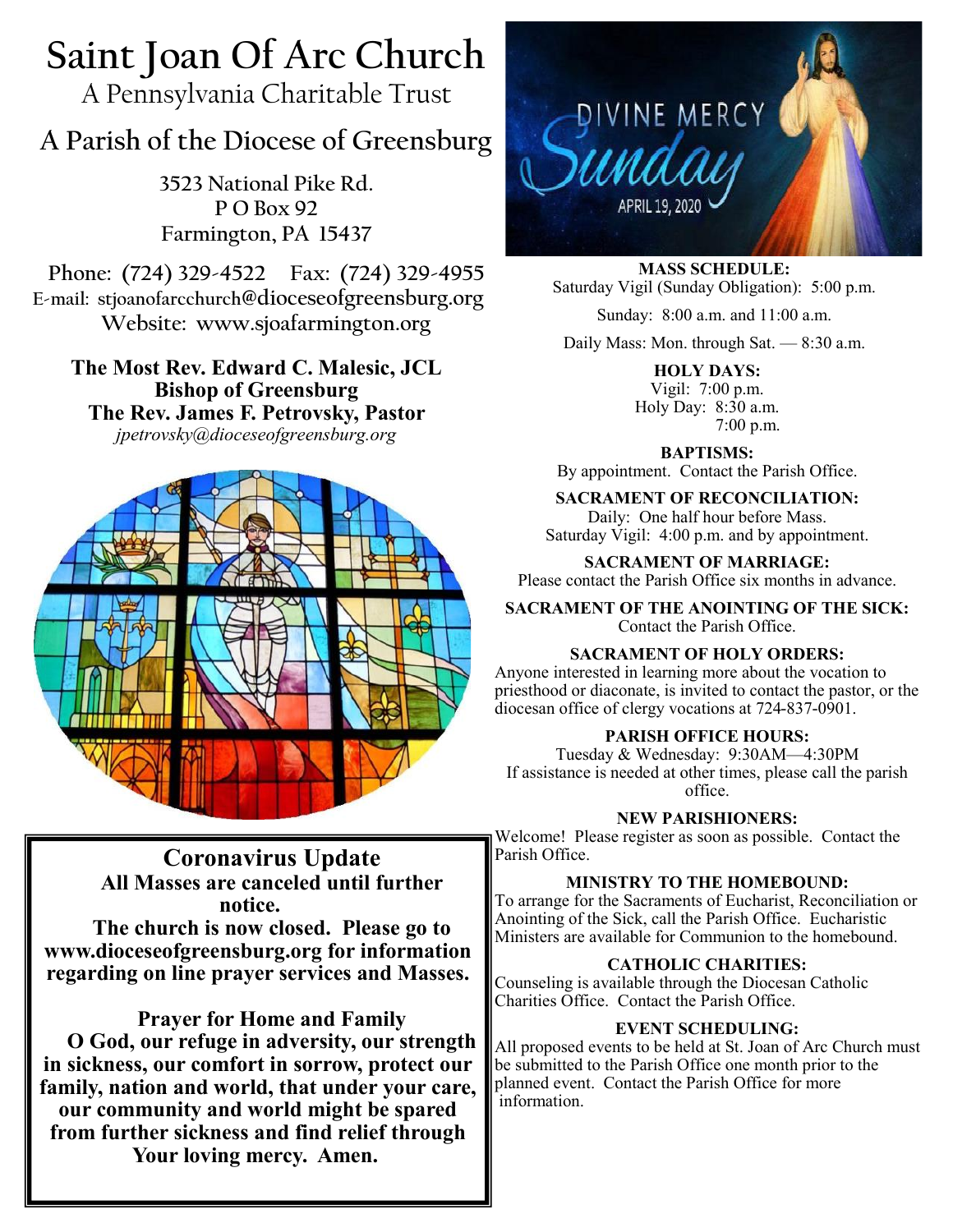# **Saint Joan Of Arc Church**

A Pennsylvania Charitable Trust

## **A Parish of the Diocese of Greensburg**

**3523 National Pike Rd. P O Box 92 Farmington, PA 15437**

**Phone: (724) 329-4522 Fax: (724) 329-4955 E-mail: stjoanofarcchurch@dioceseofgreensburg.org Website: www.sjoafarmington.org**

**The Most Rev. Edward C. Malesic, JCL Bishop of Greensburg The Rev. James F. Petrovsky, Pastor** *jpetrovsky@dioceseofgreensburg.org*



## **Coronavirus Update All Masses are canceled until further notice.**

**The church is now closed. Please go to www.dioceseofgreensburg.org for information regarding on line prayer services and Masses.**

## **Prayer for Home and Family**

**O God, our refuge in adversity, our strength in sickness, our comfort in sorrow, protect our family, nation and world, that under your care, our community and world might be spared from further sickness and find relief through Your loving mercy. Amen.**



**MASS SCHEDULE:** Saturday Vigil (Sunday Obligation): 5:00 p.m.

Sunday: 8:00 a.m. and 11:00 a.m.

Daily Mass: Mon. through Sat. — 8:30 a.m.

**HOLY DAYS:** Vigil: 7:00 p.m. Holy Day: 8:30 a.m. 7:00 p.m.

**BAPTISMS:**  By appointment. Contact the Parish Office.

## **SACRAMENT OF RECONCILIATION:**

Daily: One half hour before Mass. Saturday Vigil: 4:00 p.m. and by appointment.

**SACRAMENT OF MARRIAGE:**

Please contact the Parish Office six months in advance.

**SACRAMENT OF THE ANOINTING OF THE SICK:** Contact the Parish Office.

## **SACRAMENT OF HOLY ORDERS:**

Anyone interested in learning more about the vocation to priesthood or diaconate, is invited to contact the pastor, or the diocesan office of clergy vocations at 724-837-0901.

## **PARISH OFFICE HOURS:**

Tuesday & Wednesday: 9:30AM—4:30PM If assistance is needed at other times, please call the parish office.

#### **NEW PARISHIONERS:**

Welcome! Please register as soon as possible. Contact the Parish Office.

## **MINISTRY TO THE HOMEBOUND:**

To arrange for the Sacraments of Eucharist, Reconciliation or Anointing of the Sick, call the Parish Office. Eucharistic Ministers are available for Communion to the homebound.

#### **CATHOLIC CHARITIES:**

Counseling is available through the Diocesan Catholic Charities Office. Contact the Parish Office.

#### **EVENT SCHEDULING:**

All proposed events to be held at St. Joan of Arc Church must be submitted to the Parish Office one month prior to the planned event. Contact the Parish Office for more information.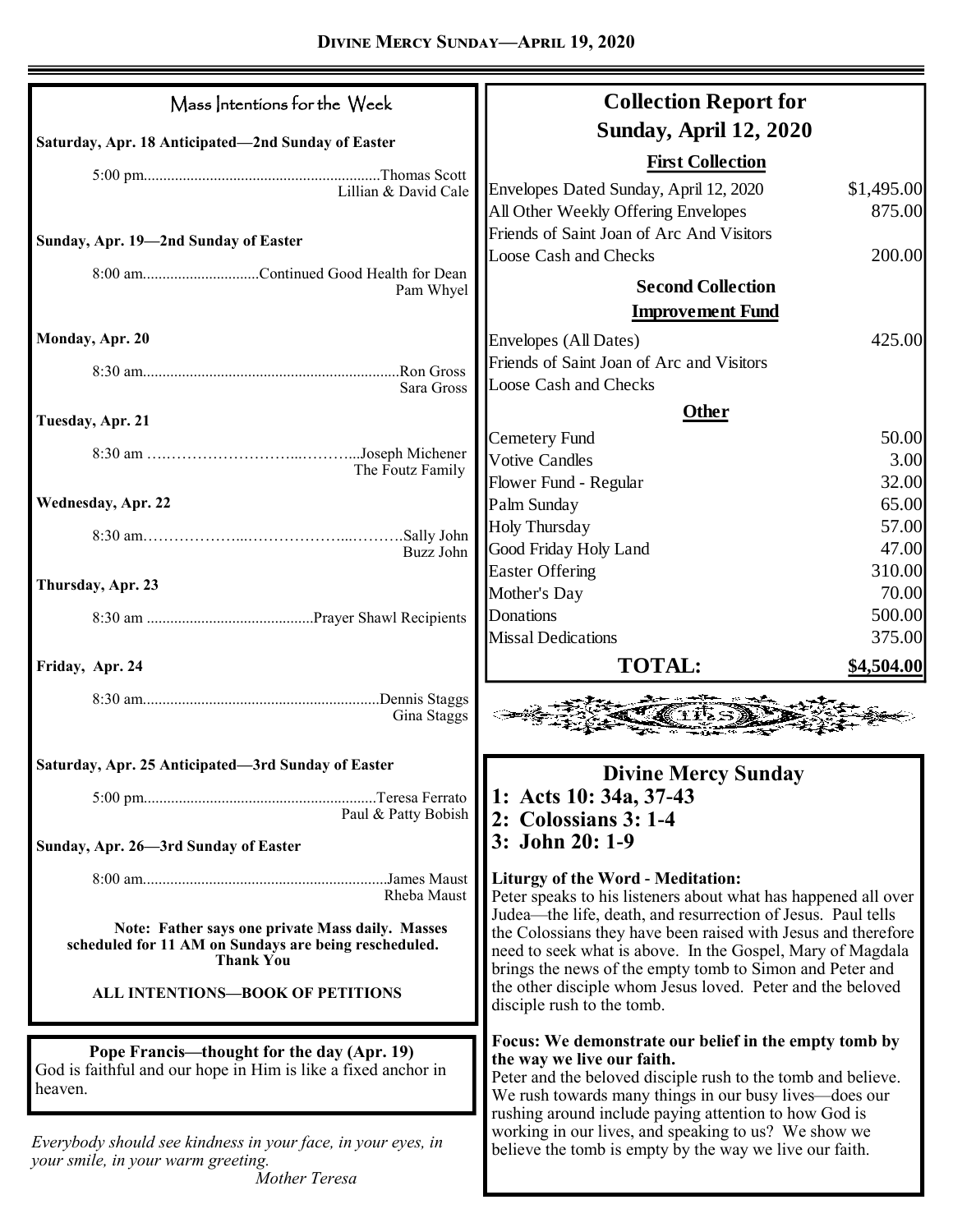| Mass Intentions for the Week                                              | <b>Collection Report for</b>                                                                                                   |        |
|---------------------------------------------------------------------------|--------------------------------------------------------------------------------------------------------------------------------|--------|
| Saturday, Apr. 18 Anticipated-2nd Sunday of Easter                        | <b>Sunday, April 12, 2020</b>                                                                                                  |        |
|                                                                           | <b>First Collection</b>                                                                                                        |        |
| Lillian & David Cale                                                      | Envelopes Dated Sunday, April 12, 2020<br>\$1,495.00                                                                           |        |
|                                                                           | All Other Weekly Offering Envelopes                                                                                            | 875.00 |
| Sunday, Apr. 19-2nd Sunday of Easter                                      | Friends of Saint Joan of Arc And Visitors                                                                                      |        |
|                                                                           | Loose Cash and Checks                                                                                                          | 200.00 |
| 8:00 amContinued Good Health for Dean<br>Pam Whyel                        | <b>Second Collection</b>                                                                                                       |        |
|                                                                           | <b>Improvement Fund</b>                                                                                                        |        |
| Monday, Apr. 20                                                           | Envelopes (All Dates)                                                                                                          | 425.00 |
|                                                                           | Friends of Saint Joan of Arc and Visitors                                                                                      |        |
| Ron Gross<br>Sara Gross                                                   | Loose Cash and Checks                                                                                                          |        |
|                                                                           | <b>Other</b>                                                                                                                   |        |
| Tuesday, Apr. 21                                                          | <b>Cemetery Fund</b>                                                                                                           | 50.00  |
|                                                                           | <b>Votive Candles</b>                                                                                                          | 3.00   |
| The Foutz Family                                                          | Flower Fund - Regular                                                                                                          | 32.00  |
| Wednesday, Apr. 22                                                        | Palm Sunday                                                                                                                    | 65.00  |
|                                                                           | <b>Holy Thursday</b>                                                                                                           | 57.00  |
| Buzz John                                                                 | Good Friday Holy Land                                                                                                          | 47.00  |
|                                                                           | <b>Easter Offering</b>                                                                                                         | 310.00 |
| Thursday, Apr. 23                                                         | Mother's Day                                                                                                                   | 70.00  |
|                                                                           | Donations                                                                                                                      | 500.00 |
|                                                                           | <b>Missal Dedications</b>                                                                                                      | 375.00 |
| Friday, Apr. 24                                                           | <b>TOTAL:</b><br>\$4,504.00                                                                                                    |        |
| Gina Staggs                                                               |                                                                                                                                |        |
| Saturday, Apr. 25 Anticipated-3rd Sunday of Easter                        | <b>Divine Mercy Sunday</b>                                                                                                     |        |
|                                                                           | 1: Acts 10: 34a, 37-43                                                                                                         |        |
| Paul & Patty Bobish                                                       | 2: Colossians 3: 1-4                                                                                                           |        |
|                                                                           | 3: John 20: 1-9                                                                                                                |        |
| Sunday, Apr. 26-3rd Sunday of Easter                                      |                                                                                                                                |        |
|                                                                           | <b>Liturgy of the Word - Meditation:</b>                                                                                       |        |
| Rheba Maust                                                               | Peter speaks to his listeners about what has happened all over<br>Judea—the life, death, and resurrection of Jesus. Paul tells |        |
| Note: Father says one private Mass daily. Masses                          | the Colossians they have been raised with Jesus and therefore                                                                  |        |
| scheduled for 11 AM on Sundays are being rescheduled.<br><b>Thank You</b> | need to seek what is above. In the Gospel, Mary of Magdala                                                                     |        |
|                                                                           | brings the news of the empty tomb to Simon and Peter and                                                                       |        |
| ALL INTENTIONS-BOOK OF PETITIONS                                          | the other disciple whom Jesus loved. Peter and the beloved<br>disciple rush to the tomb.                                       |        |
|                                                                           |                                                                                                                                |        |
| Pope Francis—thought for the day (Apr. 19)                                | Focus: We demonstrate our belief in the empty tomb by<br>the way we live our faith.                                            |        |
| God is faithful and our hope in Him is like a fixed anchor in             | Peter and the beloved disciple rush to the tomb and believe.                                                                   |        |
| heaven.                                                                   | We rush towards many things in our busy lives—does our                                                                         |        |
|                                                                           | rushing around include paying attention to how God is                                                                          |        |
| Everybody should see kindness in your face, in your eyes, in              | working in our lives, and speaking to us? We show we<br>believe the tomb is empty by the way we live our faith.                |        |
| your smile, in your warm greeting.<br>Mother Teresa                       |                                                                                                                                |        |
|                                                                           |                                                                                                                                |        |

ц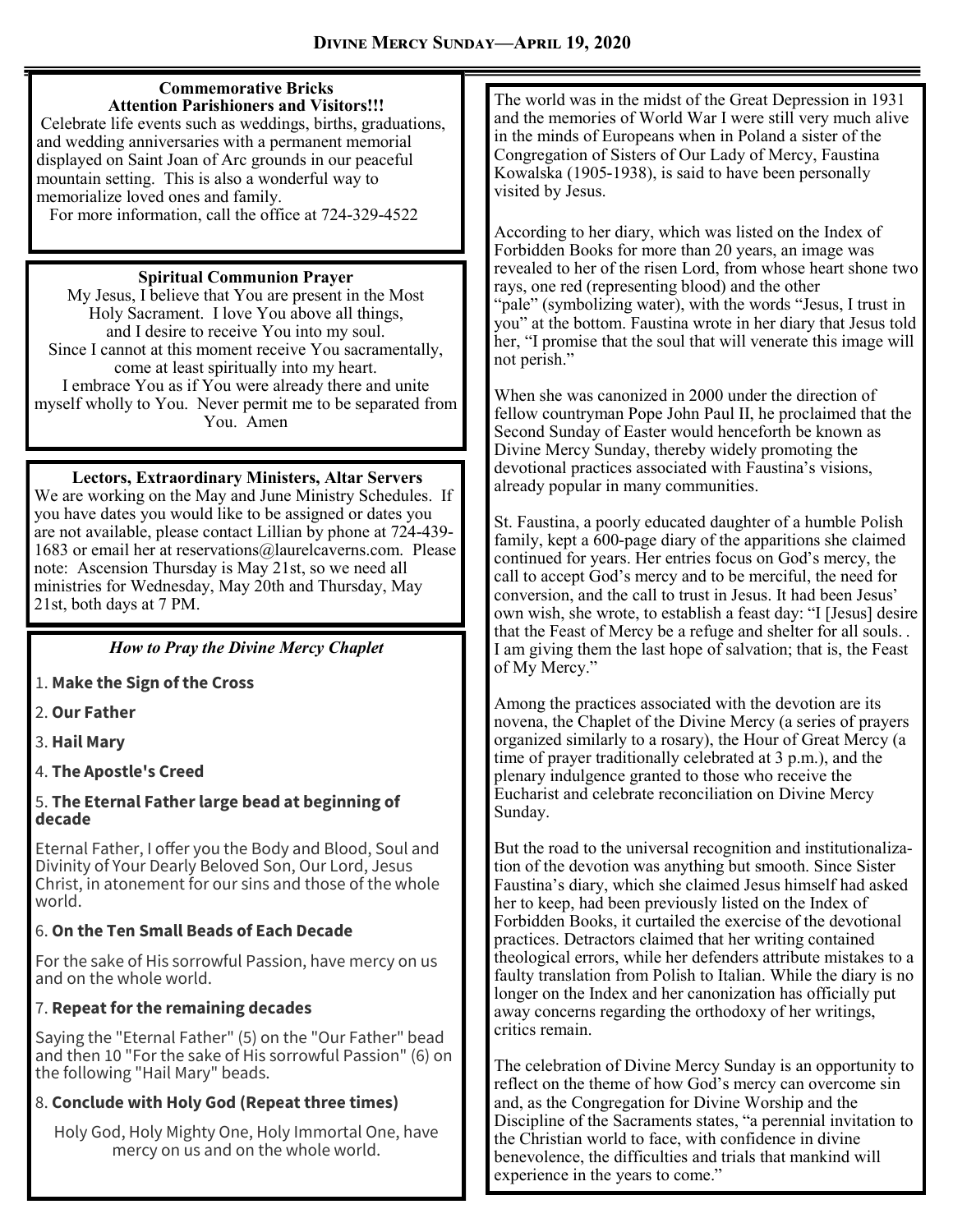#### **Commemorative Bricks Attention Parishioners and Visitors!!!**

Celebrate life events such as weddings, births, graduations, and wedding anniversaries with a permanent memorial displayed on Saint Joan of Arc grounds in our peaceful mountain setting. This is also a wonderful way to memorialize loved ones and family.

For more information, call the office at 724-329-4522

#### **Spiritual Communion Prayer**

My Jesus, I believe that You are present in the Most Holy Sacrament. I love You above all things, and I desire to receive You into my soul. Since I cannot at this moment receive You sacramentally, come at least spiritually into my heart. I embrace You as if You were already there and unite myself wholly to You. Never permit me to be separated from You. Amen

#### **Lectors, Extraordinary Ministers, Altar Servers**

We are working on the May and June Ministry Schedules. If you have dates you would like to be assigned or dates you are not available, please contact Lillian by phone at 724-439- 1683 or email her at reservations@laurelcaverns.com. Please note: Ascension Thursday is May 21st, so we need all ministries for Wednesday, May 20th and Thursday, May 21st, both days at 7 PM.

#### *How to Pray the Divine Mercy Chaplet*

1. **Make the Sign of the Cross**

- 2. **Our Father**
- 3. **Hail Mary**

4. **The Apostle's Creed**

#### 5. **The Eternal Father large bead at beginning of decade**

Eternal Father, I offer you the Body and Blood, Soul and Divinity of Your Dearly Beloved Son, Our Lord, Jesus Christ, in atonement for our sins and those of the whole world.

#### 6. **On the Ten Small Beads of Each Decade**

For the sake of His sorrowful Passion, have mercy on us and on the whole world.

#### 7. **Repeat for the remaining decades**

Saying the "Eternal Father" (5) on the "Our Father" bead and then 10 "For the sake of His sorrowful Passion" (6) on the following "Hail Mary" beads.

#### 8. **Conclude with Holy God (Repeat three times)**

Holy God, Holy Mighty One, Holy Immortal One, have mercy on us and on the whole world.

The world was in the midst of the Great Depression in 1931 and the memories of World War I were still very much alive in the minds of Europeans when in Poland a sister of the Congregation of Sisters of Our Lady of Mercy, Faustina Kowalska (1905-1938), is said to have been personally visited by Jesus.

According to her diary, which was listed on the Index of Forbidden Books for more than 20 years, an image was revealed to her of the risen Lord, from whose heart shone two rays, one red (representing blood) and the other "pale" (symbolizing water), with the words "Jesus, I trust in you" at the bottom. Faustina wrote in her diary that Jesus told her, "I promise that the soul that will venerate this image will not perish."

When she was canonized in 2000 under the direction of fellow countryman Pope John Paul II, he proclaimed that the Second Sunday of Easter would henceforth be known as Divine Mercy Sunday, thereby widely promoting the devotional practices associated with Faustina's visions, already popular in many communities.

St. Faustina, a poorly educated daughter of a humble Polish family, kept a 600-page diary of the apparitions she claimed continued for years. Her entries focus on God's mercy, the call to accept God's mercy and to be merciful, the need for conversion, and the call to trust in Jesus. It had been Jesus' own wish, she wrote, to establish a feast day: "I [Jesus] desire that the Feast of Mercy be a refuge and shelter for all souls. .  I am giving them the last hope of salvation; that is, the Feast of My Mercy."

Among the practices associated with the devotion are its novena, the Chaplet of the Divine Mercy (a series of prayers organized similarly to a rosary), the Hour of Great Mercy (a time of prayer traditionally celebrated at 3 p.m.), and the plenary indulgence granted to those who receive the Eucharist and celebrate reconciliation on Divine Mercy Sunday.

But the road to the universal recognition and institutionalization of the devotion was anything but smooth. Since Sister Faustina's diary, which she claimed Jesus himself had asked her to keep, had been previously listed on the Index of Forbidden Books, it curtailed the exercise of the devotional practices. Detractors claimed that her writing contained theological errors, while her defenders attribute mistakes to a faulty translation from Polish to Italian. While the diary is no longer on the Index and her canonization has officially put away concerns regarding the orthodoxy of her writings, critics remain.

The celebration of Divine Mercy Sunday is an opportunity to reflect on the theme of how God's mercy can overcome sin and, as the Congregation for Divine Worship and the Discipline of the Sacraments states, "a perennial invitation to the Christian world to face, with confidence in divine benevolence, the difficulties and trials that mankind will experience in the years to come."